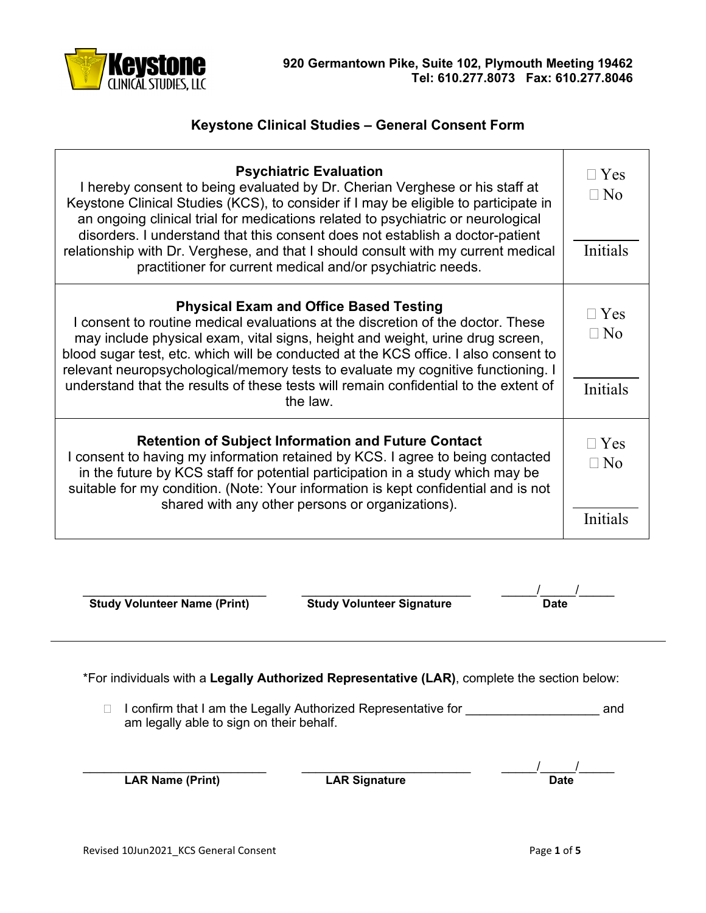

## **Keystone Clinical Studies – General Consent Form**

| <b>Psychiatric Evaluation</b><br>I hereby consent to being evaluated by Dr. Cherian Verghese or his staff at<br>Keystone Clinical Studies (KCS), to consider if I may be eligible to participate in<br>an ongoing clinical trial for medications related to psychiatric or neurological<br>disorders. I understand that this consent does not establish a doctor-patient<br>relationship with Dr. Verghese, and that I should consult with my current medical<br>practitioner for current medical and/or psychiatric needs. | $\Box$ Yes<br>$\Box$ No<br><b>Initials</b> |
|-----------------------------------------------------------------------------------------------------------------------------------------------------------------------------------------------------------------------------------------------------------------------------------------------------------------------------------------------------------------------------------------------------------------------------------------------------------------------------------------------------------------------------|--------------------------------------------|
| <b>Physical Exam and Office Based Testing</b><br>I consent to routine medical evaluations at the discretion of the doctor. These<br>may include physical exam, vital signs, height and weight, urine drug screen,<br>blood sugar test, etc. which will be conducted at the KCS office. I also consent to<br>relevant neuropsychological/memory tests to evaluate my cognitive functioning. I<br>understand that the results of these tests will remain confidential to the extent of<br>the law.                            | $\sqcap$ Yes<br>$\sqcap$ No<br>Initials    |
| <b>Retention of Subject Information and Future Contact</b><br>I consent to having my information retained by KCS. I agree to being contacted<br>in the future by KCS staff for potential participation in a study which may be<br>suitable for my condition. (Note: Your information is kept confidential and is not<br>shared with any other persons or organizations).                                                                                                                                                    | $\sqcap$ Yes<br>$\Box$ No<br>Initials      |

**Study Volunteer Name (Print) Study Volunteer Signature Date**

\_\_\_\_\_\_\_\_\_\_\_\_\_\_\_\_\_\_\_\_\_\_\_\_\_\_ \_\_\_\_\_\_\_\_\_\_\_\_\_\_\_\_\_\_\_\_\_\_\_\_ \_\_\_\_\_/\_\_\_\_\_/\_\_\_\_\_

\*For individuals with a **Legally Authorized Representative (LAR)**, complete the section below:

□ I confirm that I am the Legally Authorized Representative for \_\_\_\_\_\_\_\_\_\_\_\_\_\_\_\_\_\_\_\_\_\_\_\_\_\_\_\_\_\_\_\_\_\_ and am legally able to sign on their behalf.

**LAR Signature** 

 $\begin{array}{|c|c|c|c|}\hline \textbf{Date} & \textbf{Date} \end{array}$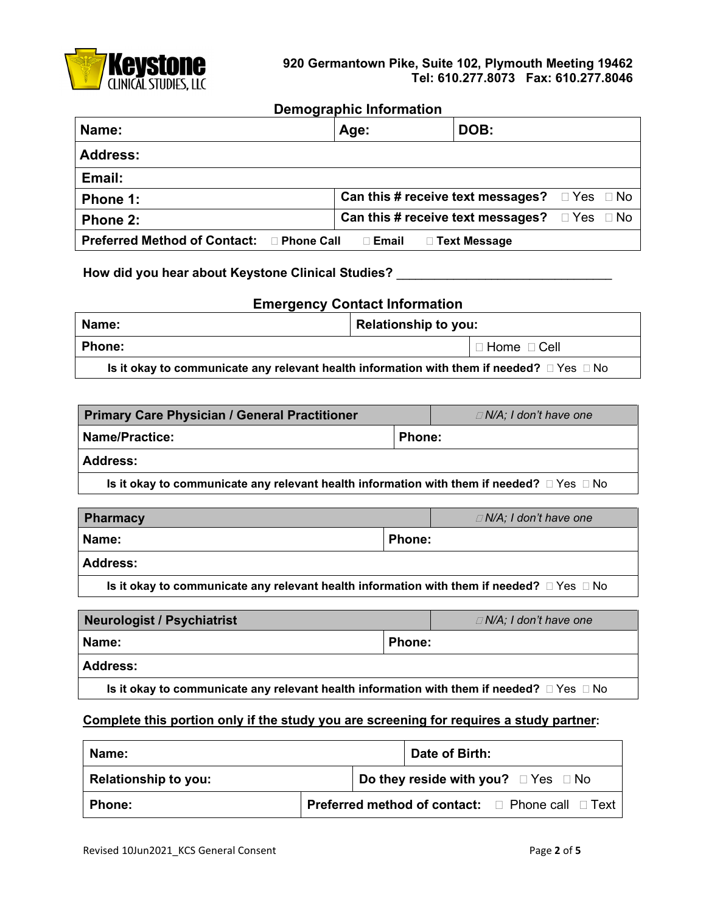

## **Demographic Information**

| Name:                                             | Age:                                                          | DOB:                   |            |  |
|---------------------------------------------------|---------------------------------------------------------------|------------------------|------------|--|
| Address:                                          |                                                               |                        |            |  |
| Email:                                            |                                                               |                        |            |  |
| Phone 1:                                          | <b>Can this # receive text messages?</b> $\Box$ Yes $\Box$ No |                        |            |  |
| Phone 2:                                          | Can this # receive text messages?                             |                        | □ Yes □ No |  |
| Preferred Method of Contact: □ Phone Call □ Email |                                                               | $\square$ Text Message |            |  |

**How did you hear about Keystone Clinical Studies? \_\_\_\_\_\_\_\_\_\_\_\_\_\_\_\_\_\_\_\_\_\_\_\_\_\_\_\_\_\_\_\_\_\_**

| <b>Emergency Contact Information</b>                                                                |  |  |  |
|-----------------------------------------------------------------------------------------------------|--|--|--|
| <b>Relationship to you:</b><br>Name:                                                                |  |  |  |
| <b>Phone:</b><br>$\Box$ Home $\Box$ Cell                                                            |  |  |  |
| Is it okay to communicate any relevant health information with them if needed? $\Box$ Yes $\Box$ No |  |  |  |

| <b>Primary Care Physician / General Practitioner</b>                                                |               | $\Box$ N/A; I don't have one |
|-----------------------------------------------------------------------------------------------------|---------------|------------------------------|
| Name/Practice:                                                                                      | <b>Phone:</b> |                              |
| l Address:                                                                                          |               |                              |
| Is it okay to communicate any relevant health information with them if needed? $\Box$ Yes $\Box$ No |               |                              |

| <b>Pharmacy</b> |               | $\Box$ N/A; I don't have one |
|-----------------|---------------|------------------------------|
| Name:           | <b>Phone:</b> |                              |
| <b>Address:</b> |               |                              |

**Is it okay to communicate any relevant health information with them if needed?**  $\Box$  Yes  $\Box$  No

| <b>Neurologist / Psychiatrist</b>                                                                   |               | $\Box$ N/A; I don't have one |
|-----------------------------------------------------------------------------------------------------|---------------|------------------------------|
| Name:                                                                                               | <b>Phone:</b> |                              |
| <b>Address:</b>                                                                                     |               |                              |
| Is it okay to communicate any relevant health information with them if needed? $\Box$ Yes $\Box$ No |               |                              |

## **Complete this portion only if the study you are screening for requires a study partner:**

| Name:                |  | Date of Birth: |                                                         |
|----------------------|--|----------------|---------------------------------------------------------|
| Relationship to you: |  |                | Do they reside with you? $\Box$ Yes $\Box$ No           |
| <b>Phone:</b>        |  |                | <b>Preferred method of contact:</b> □ Phone call □ Text |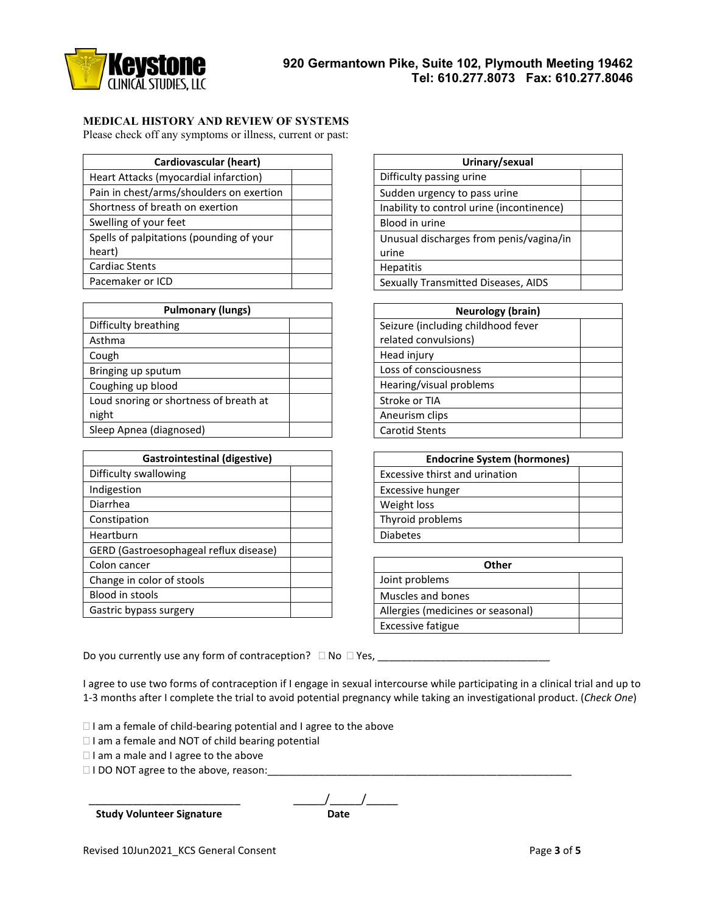

## **MEDICAL HISTORY AND REVIEW OF SYSTEMS**

Please check off any symptoms or illness, current or past:

| <b>Cardiovascular (heart)</b>            |  |
|------------------------------------------|--|
| Heart Attacks (myocardial infarction)    |  |
| Pain in chest/arms/shoulders on exertion |  |
| Shortness of breath on exertion          |  |
| Swelling of your feet                    |  |
| Spells of palpitations (pounding of your |  |
| heart)                                   |  |
| <b>Cardiac Stents</b>                    |  |
| Pacemaker or ICD                         |  |

| <b>Pulmonary (lungs)</b>               |  |  |
|----------------------------------------|--|--|
| Difficulty breathing                   |  |  |
| Asthma                                 |  |  |
| Cough                                  |  |  |
| Bringing up sputum                     |  |  |
| Coughing up blood                      |  |  |
| Loud snoring or shortness of breath at |  |  |
| night                                  |  |  |
| Sleep Apnea (diagnosed)                |  |  |

| <b>Gastrointestinal (digestive)</b>    |  |  |
|----------------------------------------|--|--|
| Difficulty swallowing                  |  |  |
| Indigestion                            |  |  |
| Diarrhea                               |  |  |
| Constipation                           |  |  |
| Heartburn                              |  |  |
| GERD (Gastroesophageal reflux disease) |  |  |
| Colon cancer                           |  |  |
| Change in color of stools              |  |  |
| Blood in stools                        |  |  |
| Gastric bypass surgery                 |  |  |

| Urinary/sexual                            |  |  |
|-------------------------------------------|--|--|
| Difficulty passing urine                  |  |  |
| Sudden urgency to pass urine              |  |  |
| Inability to control urine (incontinence) |  |  |
| Blood in urine                            |  |  |
| Unusual discharges from penis/vagina/in   |  |  |
| urine                                     |  |  |
| <b>Hepatitis</b>                          |  |  |
| Sexually Transmitted Diseases, AIDS       |  |  |

| <b>Neurology (brain)</b>           |  |  |  |
|------------------------------------|--|--|--|
| Seizure (including childhood fever |  |  |  |
| related convulsions)               |  |  |  |
| Head injury                        |  |  |  |
| Loss of consciousness              |  |  |  |
| Hearing/visual problems            |  |  |  |
| Stroke or TIA                      |  |  |  |
| Aneurism clips                     |  |  |  |
| <b>Carotid Stents</b>              |  |  |  |

| <b>Endocrine System (hormones)</b> |  |  |
|------------------------------------|--|--|
| Excessive thirst and urination     |  |  |
| Excessive hunger                   |  |  |
| Weight loss                        |  |  |
| Thyroid problems                   |  |  |
| <b>Diabetes</b>                    |  |  |
|                                    |  |  |

| Other                             |  |  |  |
|-----------------------------------|--|--|--|
| Joint problems                    |  |  |  |
| Muscles and bones                 |  |  |  |
| Allergies (medicines or seasonal) |  |  |  |
| <b>Excessive fatigue</b>          |  |  |  |

Do you currently use any form of contraception? No Yes, \_\_\_\_\_\_\_\_\_\_\_\_\_\_\_\_\_\_\_\_\_\_\_\_\_\_\_\_\_\_

I agree to use two forms of contraception if I engage in sexual intercourse while participating in a clinical trial and up to 1-3 months after I complete the trial to avoid potential pregnancy while taking an investigational product. (*Check One*)

 $\Box$  I am a female of child-bearing potential and I agree to the above

 $\Box$  I am a female and NOT of child bearing potential

 $\Box$  I am a male and I agree to the above

I DO NOT agree to the above, reason:

**Study Volunteer Signature** 

 $\frac{1}{2}$ Date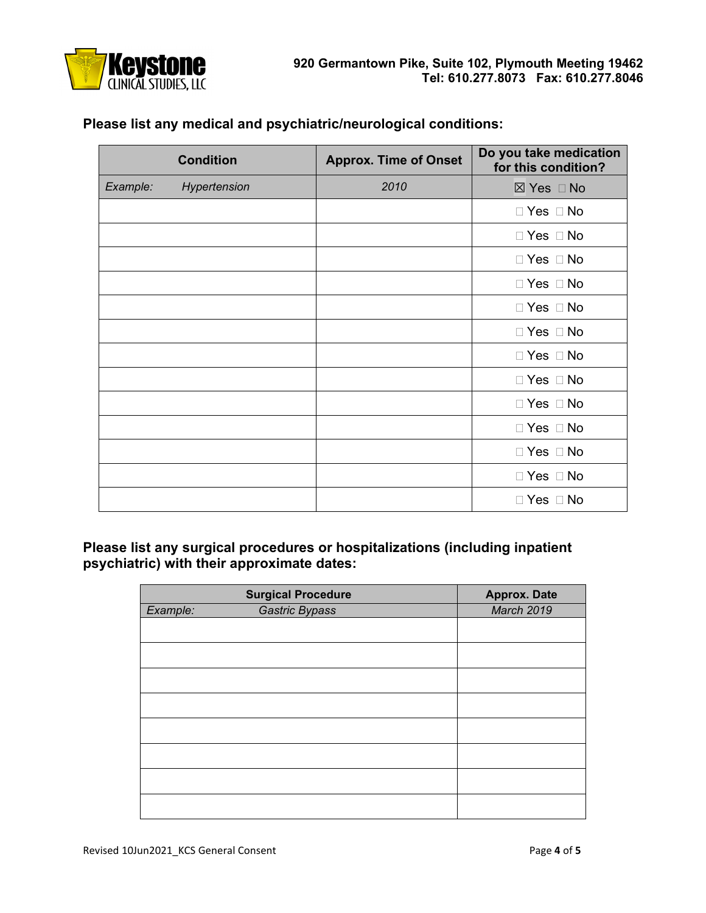

**Please list any medical and psychiatric/neurological conditions:**

|          | <b>Condition</b> | <b>Approx. Time of Onset</b> | Do you take medication<br>for this condition? |
|----------|------------------|------------------------------|-----------------------------------------------|
| Example: | Hypertension     | 2010                         | ⊠ Yes □ No                                    |
|          |                  |                              | $\Box$ Yes $\Box$ No                          |
|          |                  |                              | $\Box$ Yes $\Box$ No                          |
|          |                  |                              | $\Box$ Yes $\Box$ No                          |
|          |                  |                              | $\Box$ Yes $\Box$ No                          |
|          |                  |                              | $\Box$ Yes $\Box$ No                          |
|          |                  |                              | $\Box$ Yes $\Box$ No                          |
|          |                  |                              | $\Box$ Yes $\Box$ No                          |
|          |                  |                              | $\Box$ Yes $\Box$ No                          |
|          |                  |                              | $\Box$ Yes $\Box$ No                          |
|          |                  |                              | $\Box$ Yes $\Box$ No                          |
|          |                  |                              | $\Box$ Yes $\Box$ No                          |
|          |                  |                              | $\Box$ Yes $\Box$ No                          |
|          |                  |                              | $\Box$ Yes $\Box$ No                          |

**Please list any surgical procedures or hospitalizations (including inpatient psychiatric) with their approximate dates:**

|          | <b>Surgical Procedure</b> | <b>Approx. Date</b> |
|----------|---------------------------|---------------------|
| Example: | <b>Gastric Bypass</b>     | <b>March 2019</b>   |
|          |                           |                     |
|          |                           |                     |
|          |                           |                     |
|          |                           |                     |
|          |                           |                     |
|          |                           |                     |
|          |                           |                     |
|          |                           |                     |